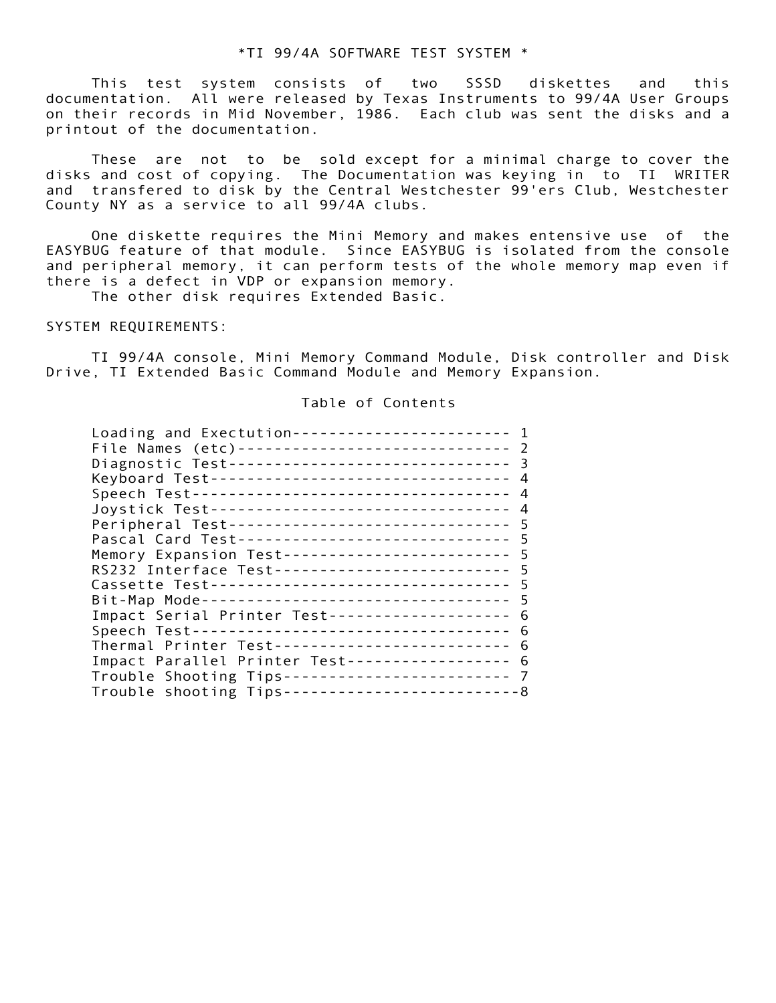## \*TI 99/4A SOFTWARE TEST SYSTEM \*

# SYSTEM REQUIREMENTS:

### Table of Contents

| This test system consists of two SSSD diskettes and<br>this<br>documentation. All were released by Texas Instruments to 99/4A User Groups<br>on their records in Mid November, 1986. Each club was sent the disks and a<br>printout of the documentation.                                                                                                                                                                                                                                                                                                                                                                                                                                                                                                                                                                                                         |
|-------------------------------------------------------------------------------------------------------------------------------------------------------------------------------------------------------------------------------------------------------------------------------------------------------------------------------------------------------------------------------------------------------------------------------------------------------------------------------------------------------------------------------------------------------------------------------------------------------------------------------------------------------------------------------------------------------------------------------------------------------------------------------------------------------------------------------------------------------------------|
| are not to be sold except for a minimal charge to cover the<br>These<br>disks and cost of copying. The Documentation was keying in to TI WRITER<br>and transfered to disk by the Central Westchester 99'ers Club, Westchester<br>County NY as a service to all 99/4A clubs.                                                                                                                                                                                                                                                                                                                                                                                                                                                                                                                                                                                       |
| One diskette requires the Mini Memory and makes entensive use of the<br>EASYBUG feature of that module. Since EASYBUG is isolated from the console<br>and peripheral memory, it can perform tests of the whole memory map even if<br>there is a defect in VDP or expansion memory.<br>The other disk requires Extended Basic.                                                                                                                                                                                                                                                                                                                                                                                                                                                                                                                                     |
| SYSTEM REQUIREMENTS:                                                                                                                                                                                                                                                                                                                                                                                                                                                                                                                                                                                                                                                                                                                                                                                                                                              |
| TI 99/4A console, Mini Memory Command Module, Disk controller and Disk<br>Drive, TI Extended Basic Command Module and Memory Expansion.                                                                                                                                                                                                                                                                                                                                                                                                                                                                                                                                                                                                                                                                                                                           |
| Table of Contents                                                                                                                                                                                                                                                                                                                                                                                                                                                                                                                                                                                                                                                                                                                                                                                                                                                 |
| Loading and Exectution------------------------ 1<br>File Names (etc)------------------------------- 2<br>Diagnostic Test------------------------------- 3<br>Keyboard Test--------------------------------   4<br>Speech Test----------------------------------- 4<br>Joystick Test--------------------------------- 4<br>Peripheral Test-------------------------------- 5<br>Pascal Card Test------------------------------- 5<br>Memory Expansion Test------------------------- 5<br>RS232 Interface Test-------------------------- 5<br>Cassette Test---------------------------------- 5<br>Bit-Map Mode---------------------------------- 5<br>Impact Serial Printer Test-------------------- 6<br>Thermal Printer Test-------------------------- 6<br>Impact Parallel Printer Test------------------ 6<br>Trouble Shooting Tips------------------------- 7 |
|                                                                                                                                                                                                                                                                                                                                                                                                                                                                                                                                                                                                                                                                                                                                                                                                                                                                   |
|                                                                                                                                                                                                                                                                                                                                                                                                                                                                                                                                                                                                                                                                                                                                                                                                                                                                   |
|                                                                                                                                                                                                                                                                                                                                                                                                                                                                                                                                                                                                                                                                                                                                                                                                                                                                   |
|                                                                                                                                                                                                                                                                                                                                                                                                                                                                                                                                                                                                                                                                                                                                                                                                                                                                   |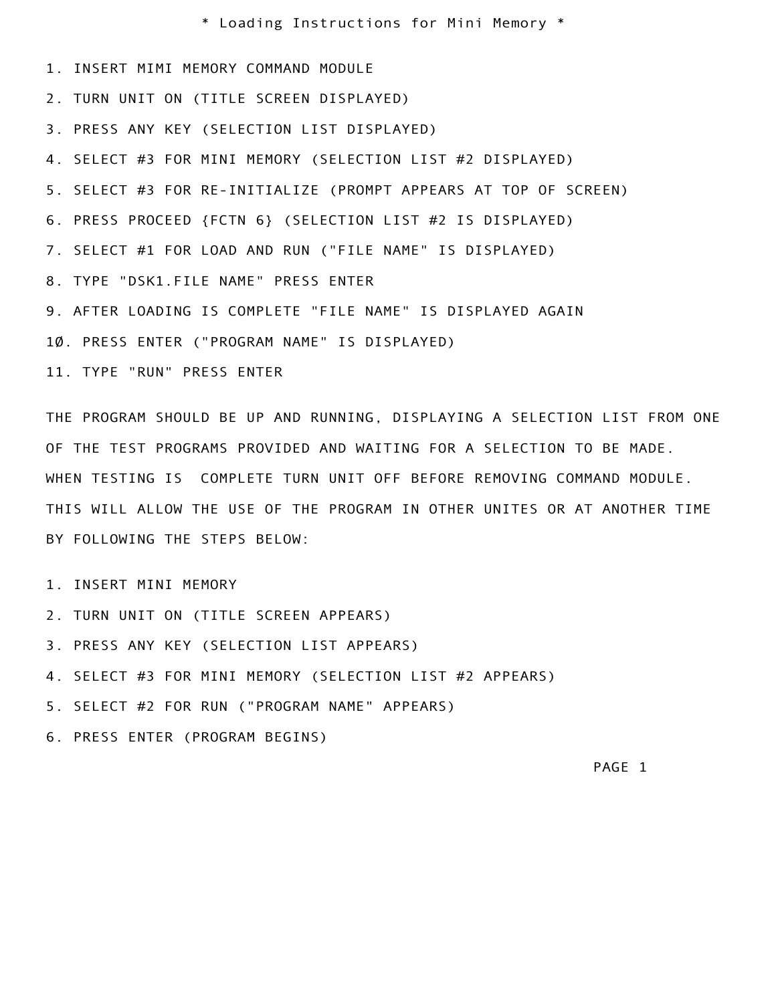\* Loading Instructions for Mini Memory \*

- 1. INSERT MIMI MEMORY COMMAND MODULE
- 2. TURN UNIT ON (TITLE SCREEN DISPLAYED)
- 3. PRESS ANY KEY (SELECTION LIST DISPLAYED)
- 4. SELECT #3 FOR MINI MEMORY (SELECTION LIST #2 DISPLAYED)
- 5. SELECT #3 FOR RE-INITIALIZE (PROMPT APPEARS AT TOP OF SCREEN)
- 6. PRESS PROCEED {FCTN 6} (SELECTION LIST #2 IS DISPLAYED)
- 7. SELECT #1 FOR LOAD AND RUN ("FILE NAME" IS DISPLAYED)
- 8. TYPE "DSK1.FILE NAME" PRESS ENTER
- 9. AFTER LOADING IS COMPLETE "FILE NAME" IS DISPLAYED AGAIN
- 10. PRESS ENTER ("PROGRAM NAME" IS DISPLAYED)
- 11. TYPE "RUN" PRESS ENTER

DULE<br>SPLAYED)<br>LECTION LIST #2 DISPLAYED)<br>PROMPT APPEARS AT TOP OF SCREEN)<br>TION LIST #2 IS DISPLAYED)<br>FILE NAME" IS DISPLAYED AGAIN<br>NTER<br>LE NAME" IS DISPLAYED AGAIN<br>IS DISPLAYED)<br>NNING, DISPLAYING A SELECTION LIST FROM ONE<br> THE PROGRAM SHOULD BE UP AND RUNNING, DISPLAYING A SELECTION LIST FROM ONE OF THE TEST PROGRAMS PROVIDED AND WAITING FOR A SELECTION TO BE MADE. WHEN TESTING IS COMPLETE TURN UNIT OFF BEFORE REMOVING COMMAND MODULE. THIS WILL ALLOW THE USE OF THE PROGRAM IN OTHER UNITES OR AT ANOTHER TIME BY FOLLOWING THE STEPS BELOW:

- 1. INSERT MINI MEMORY
- 2. TURN UNIT ON (TITLE SCREEN APPEARS)
- ESS ANY KEY (SELECTION LIS<br>
ECT #3 FOR MINI MEMORY (S<br>
ECT #2 FOR RUN ("PROGRAM<br>
SS ENTER (PROGRAM BEGINS) 3. PRESS ANY KEY (SELECTION LIST APPEARS)
- 4. SELECT #3 FOR MINI MEMORY (SELECTION LIST #2 APPEARS)
- 5. SELECT #2 FOR RUN ("PROGRAM NAME" APPEARS)
- 6. PRESS ENTER (PROGRAM BEGINS)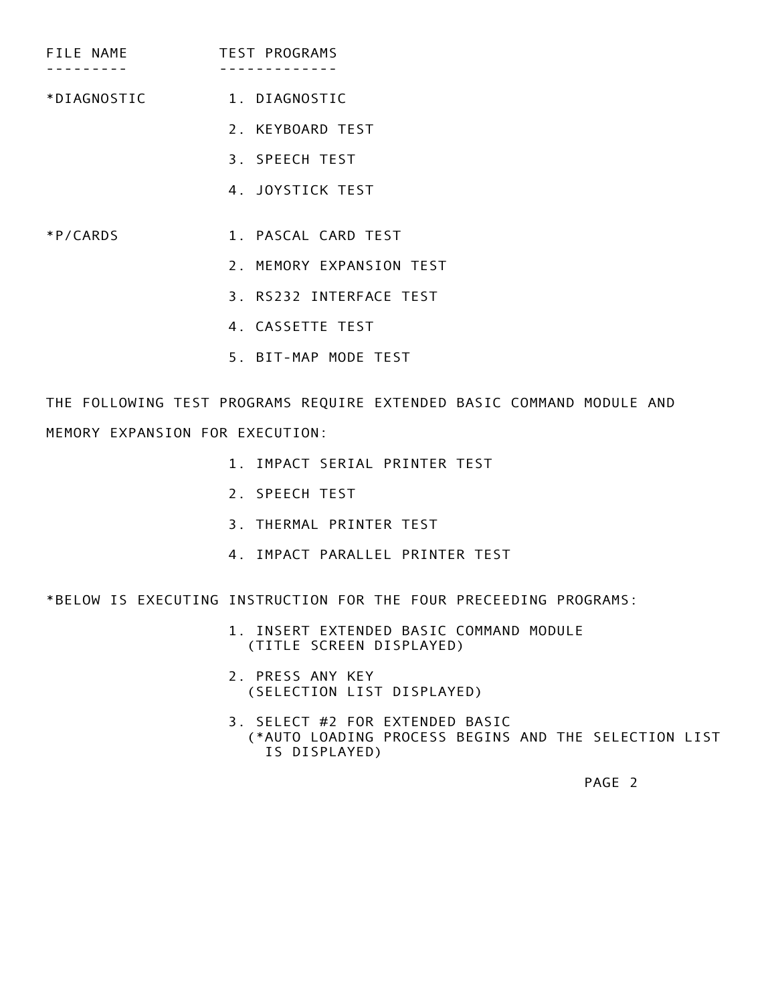- FILE NAME TEST PROGRAMS --------- -------------
- \*DIAGNOSTIC 1. DIAGNOSTIC
	- 2. KEYBOARD TEST
	- 3. SPEECH TEST
	- 4. JOYSTICK TEST
- \*P/CARDS 1. PASCAL CARD TEST
	- 2. MEMORY EXPANSION TEST
	- 3. RS232 INTERFACE TEST
	- 4. CASSETTE TEST
	- 5. BIT-MAP MODE TEST

C<br>
TEST<br>
TEST<br>
RRD TEST<br>
RRD TEST<br>
TERFACE TEST<br>
TEST<br>
IDDE TEST<br>
INTER EXTENDED BASIC COMMAND MODULE AND<br>
IRIAL PRINTER TEST<br>
ST<br>
TRINTER TEST<br>
NAILLEL PRINTER TEST<br>
RRALLEL PRINTER TEST<br>
RRALLEL PRINTER TEST THE FOLLOWING TEST PROGRAMS REQUIRE EXTENDED BASIC COMMAND MODULE AND MEMORY EXPANSION FOR EXECUTION:

- 1. IMPACT SERIAL PRINTER TEST
- 2. SPEECH TEST
- 3. THERMAL PRINTER TEST
- 4. IMPACT PARALLEL PRINTER TEST

\*BELOW IS EXECUTING INSTRUCTION FOR THE FOUR PRECEEDING PROGRAMS:

- 1. INSERT EXTENDED BASIC COMMAND MODULE (TITLE SCREEN DISPLAYED)
- 2. PRESS ANY KEY (SELECTION LIST DISPLAYED)
- 1. INSERT E<br>
(TITLE SC<br>
2. PRESS AN<br>
(SELECTIO<br>
3. SELECT #<br>
(\*AUTO LO<br>
IS DISP 3. SELECT #2 FOR EXTENDED BASIC (\*AUTO LOADING PROCESS BEGINS AND THE SELECTION LIST IS DISPLAYED)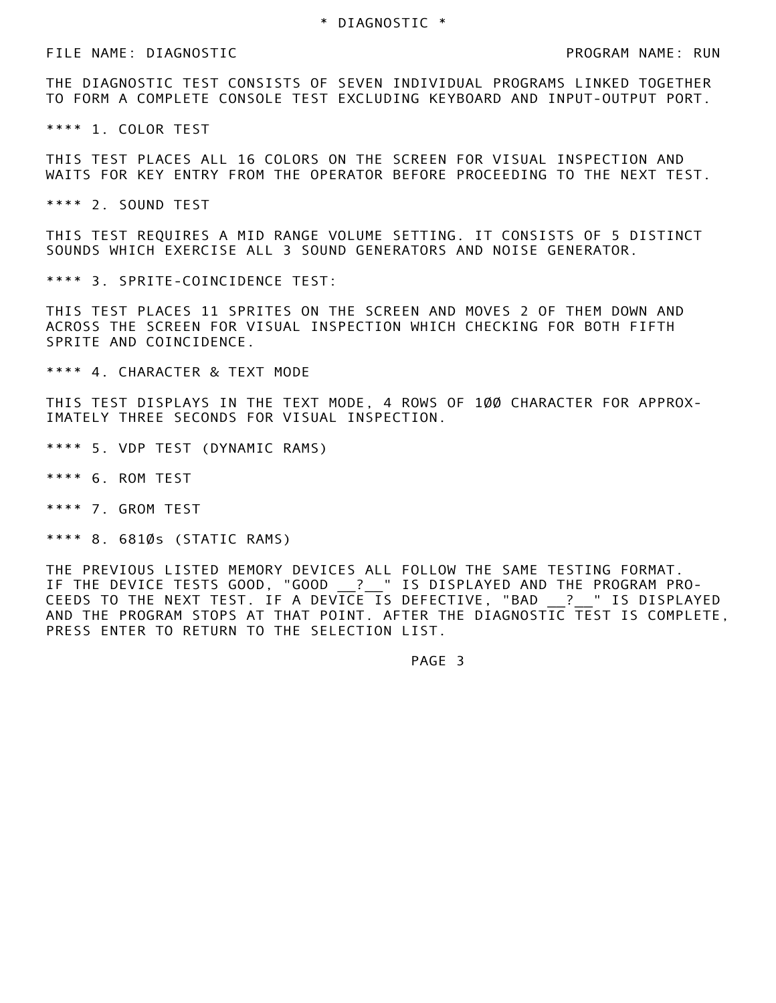FILE NAME: DIAGNOSTIC PROGRAM NAME: RUN

 THE DIAGNOSTIC TEST CONSISTS OF SEVEN INDIVIDUAL PROGRAMS LINKED TOGETHER TO FORM A COMPLETE CONSOLE TEST EXCLUDING KEYBOARD AND INPUT-OUTPUT PORT.

\*\*\*\* 1. COLOR TEST

 THIS TEST PLACES ALL 16 COLORS ON THE SCREEN FOR VISUAL INSPECTION AND WAITS FOR KEY ENTRY FROM THE OPERATOR BEFORE PROCEEDING TO THE NEXT TEST.

\*\*\*\* 2. SOUND TEST

 THIS TEST REQUIRES A MID RANGE VOLUME SETTING. IT CONSISTS OF 5 DISTINCT SOUNDS WHICH EXERCISE ALL 3 SOUND GENERATORS AND NOISE GENERATOR.

\*\*\*\* 3. SPRITE-COINCIDENCE TEST:

SEVEN INDIVIDUAL PROGRAMS LINKED TOGETHER<br>EXCLUDING KEYBOARD AND INPUT-OUTPUT PORT.<br>IN THE SCREEN FOR VISUAL INSPECTION AND<br>RATOR BEFORE PROCEEDING TO THE NEXT TEST.<br>VOLUME SETTING. IT CONSISTS OF 5 DISTINCT<br>ID GENERATORS THIS TEST PLACES 11 SPRITES ON THE SCREEN AND MOVES 2 OF THEM DOWN AND ACROSS THE SCREEN FOR VISUAL INSPECTION WHICH CHECKING FOR BOTH FIFTH SPRITE AND COINCIDENCE.

\*\*\*\* 4. CHARACTER & TEXT MODE

THIS TEST DISPLAYS IN THE TEXT MODE, 4 ROWS OF 100 CHARACTER FOR APPROX-IMATELY THREE SECONDS FOR VISUAL INSPECTION.

- \*\*\*\* 5. VDP TEST (DYNAMIC RAMS)
- \*\*\*\* 6. ROM TEST
- \*\*\*\* 7. GROM TEST
- \*\*\*\* 8. 6810s (STATIC RAMS)

ENTER TO RETURN TO THE SE<br>
ENTER TO RETURN TO THE SE THE PREVIOUS LISTED MEMORY DEVICES ALL FOLLOW THE SAME TESTING FORMAT. IF THE DEVICE TESTS GOOD, "GOOD \_\_?\_\_" IS DISPLAYED AND THE PROGRAM PRO-CEEDS TO THE NEXT TEST. IF A DEVICE IS DEFECTIVE, "BAD \_\_?\_ " IS DISPLAYED AND THE PROGRAM STOPS AT THAT POINT. AFTER THE DIAGNOSTIC TEST IS COMPLETE, PRESS ENTER TO RETURN TO THE SELECTION LIST.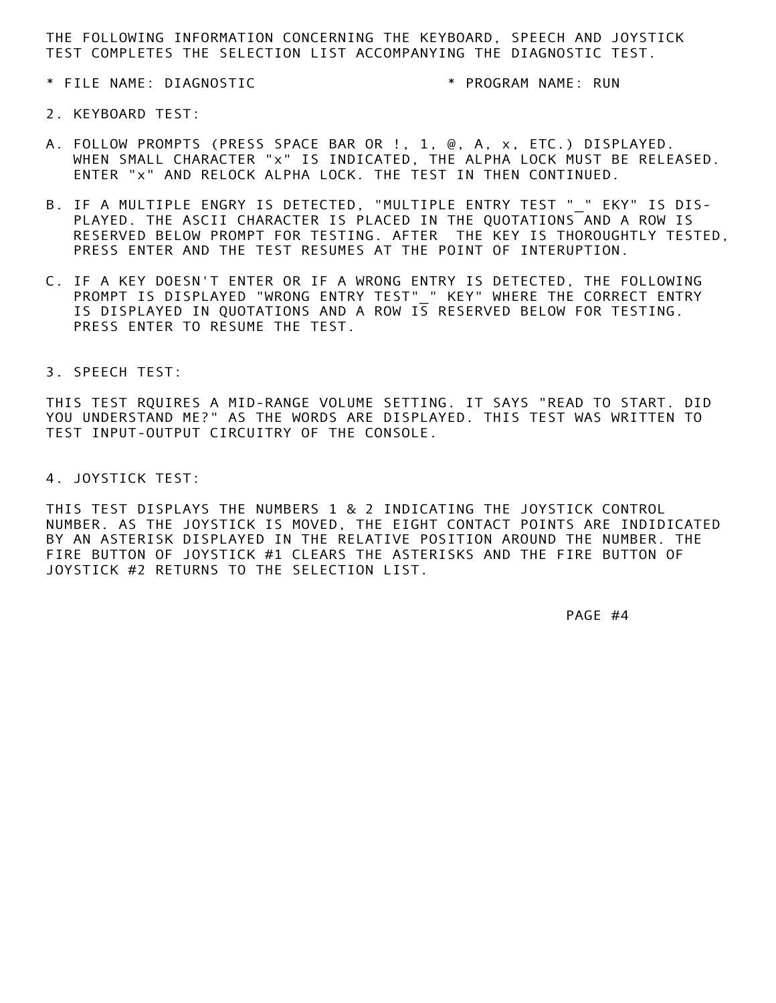THE FOLLOWING INFORMATION CONCERNING THE KEYBOARD, SPEECH AND JOYSTICK TEST COMPLETES THE SELECTION LIST ACCOMPANYING THE DIAGNOSTIC TEST.

\* FILE NAME: DIAGNOSTIC \* PROGRAM NAME: RUN

- 2. KEYBOARD TEST:
- A. FOLLOW PROMPTS (PRESS SPACE BAR OR !, 1, @, A, x, ETC.) DISPLAYED. WHEN SMALL CHARACTER "x" IS INDICATED, THE ALPHA LOCK MUST BE RELEASED. ENTER "x" AND RELOCK ALPHA LOCK. THE TEST IN THEN CONTINUED.
- B. IF A MULTIPLE ENGRY IS DETECTED, "MULTIPLE ENTRY TEST " " EKY" IS DIS- PLAYED. THE ASCII CHARACTER IS PLACED IN THE QUOTATIONS AND A ROW IS RESERVED BELOW PROMPT FOR TESTING. AFTER THE KEY IS THOROUGHTLY TESTED, PRESS ENTER AND THE TEST RESUMES AT THE POINT OF INTERUPTION.
- C. IF A KEY DOESN'T ENTER OR IF A WRONG ENTRY IS DETECTED, THE FOLLOWING PROMPT IS DISPLAYED "WRONG ENTRY TEST" " KEY" WHERE THE CORRECT ENTRY IS DISPLAYED IN QUOTATIONS AND A ROW IS RESERVED BELOW FOR TESTING. PRESS ENTER TO RESUME THE TEST.
- 3. SPEECH TEST:

 THIS TEST RQUIRES A MID-RANGE VOLUME SETTING. IT SAYS "READ TO START. DID YOU UNDERSTAND ME?" AS THE WORDS ARE DISPLAYED. THIS TEST WAS WRITTEN TO TEST INPUT-OUTPUT CIRCUITRY OF THE CONSOLE.

4. JOYSTICK TEST:

\* PROGRAM NAME: RUN<br>
AR OR !, 1, @, A, x, ETC.) DISPLAYED,<br>
NDICATED, THE ALPHA LOCK MUST BE RELEASED.<br>
CCK. THE TEST IN THEN CONTINUED.<br>
ED. "MULTIPLE ENTRY TEST " " EKY" IS DIS-<br>
SPLACED IN THE QUOTATIONS AND A ROW IS<br>
S THIS TEST DISPLAYS THE NUMBERS 1 & 2 INDICATING THE JOYSTICK CONTROL NUMBER. AS THE JOYSTICK IS MOVED, THE EIGHT CONTACT POINTS ARE INDIDICATED BY AN ASTERISK DISPLAYED IN THE RELATIVE POSITION AROUND THE NUMBER. THE FIRE BUTTON OF JOYSTICK #1 CLEARS THE ASTERISKS AND THE FIRE BUTTON OF JOYSTICK #2 RETURNS TO THE SELECTION LIST.

PAGE #4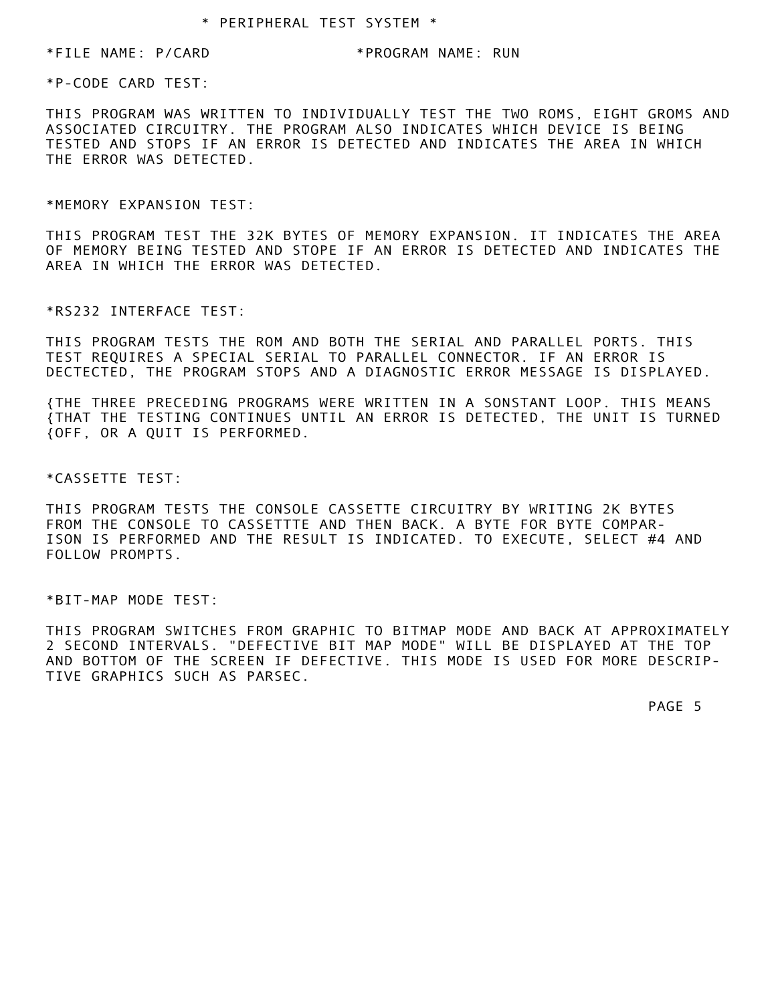\*FILE NAME: P/CARD \*PROGRAM NAME: RUN

\*P-CODE CARD TEST:

VIDUALLY TEST THE TWO ROMS, EIGHT GROMS AND<br>IM ALSO INDICATES WHICH DEVICE IS BEING<br>DETECTED AND INDICATES THE AREA IN WHICH<br>OF MEMORY EXPANSION. IT INDICATES THE AREA<br>IF AN ERROR IS DETECTED AND INDICATES THE<br>CTED.<br>WOTH T THIS PROGRAM WAS WRITTEN TO INDIVIDUALLY TEST THE TWO ROMS, EIGHT GROMS AND ASSOCIATED CIRCUITRY. THE PROGRAM ALSO INDICATES WHICH DEVICE IS BEING TESTED AND STOPS IF AN ERROR IS DETECTED AND INDICATES THE AREA IN WHICH THE ERROR WAS DETECTED.

\*MEMORY EXPANSION TEST:

 THIS PROGRAM TEST THE 32K BYTES OF MEMORY EXPANSION. IT INDICATES THE AREA OF MEMORY BEING TESTED AND STOPE IF AN ERROR IS DETECTED AND INDICATES THE AREA IN WHICH THE ERROR WAS DETECTED.

\*RS232 INTERFACE TEST:

 THIS PROGRAM TESTS THE ROM AND BOTH THE SERIAL AND PARALLEL PORTS. THIS TEST REQUIRES A SPECIAL SERIAL TO PARALLEL CONNECTOR. IF AN ERROR IS DECTECTED, THE PROGRAM STOPS AND A DIAGNOSTIC ERROR MESSAGE IS DISPLAYED.

 {THE THREE PRECEDING PROGRAMS WERE WRITTEN IN A SONSTANT LOOP. THIS MEANS {THAT THE TESTING CONTINUES UNTIL AN ERROR IS DETECTED, THE UNIT IS TURNED {OFF, OR A QUIT IS PERFORMED.

\*CASSETTE TEST:

 THIS PROGRAM TESTS THE CONSOLE CASSETTE CIRCUITRY BY WRITING 2K BYTES FROM THE CONSOLE TO CASSETTTE AND THEN BACK. A BYTE FOR BYTE COMPAR- ISON IS PERFORMED AND THE RESULT IS INDICATED. TO EXECUTE, SELECT #4 AND FOLLOW PROMPTS.

\*BIT-MAP MODE TEST:

PROGRAM SWITCHES FROM GRAP<br>NND INTERVALS. "DEFECTIVE<br>JTTOM OF THE SCREEN IF DEF<br>GRAPHICS SUCH AS PARSEC.<br>"DEFALL" AS PARSEC. THIS PROGRAM SWITCHES FROM GRAPHIC TO BITMAP MODE AND BACK AT APPROXIMATELY 2 SECOND INTERVALS. "DEFECTIVE BIT MAP MODE" WILL BE DISPLAYED AT THE TOP AND BOTTOM OF THE SCREEN IF DEFECTIVE. THIS MODE IS USED FOR MORE DESCRIP- TIVE GRAPHICS SUCH AS PARSEC.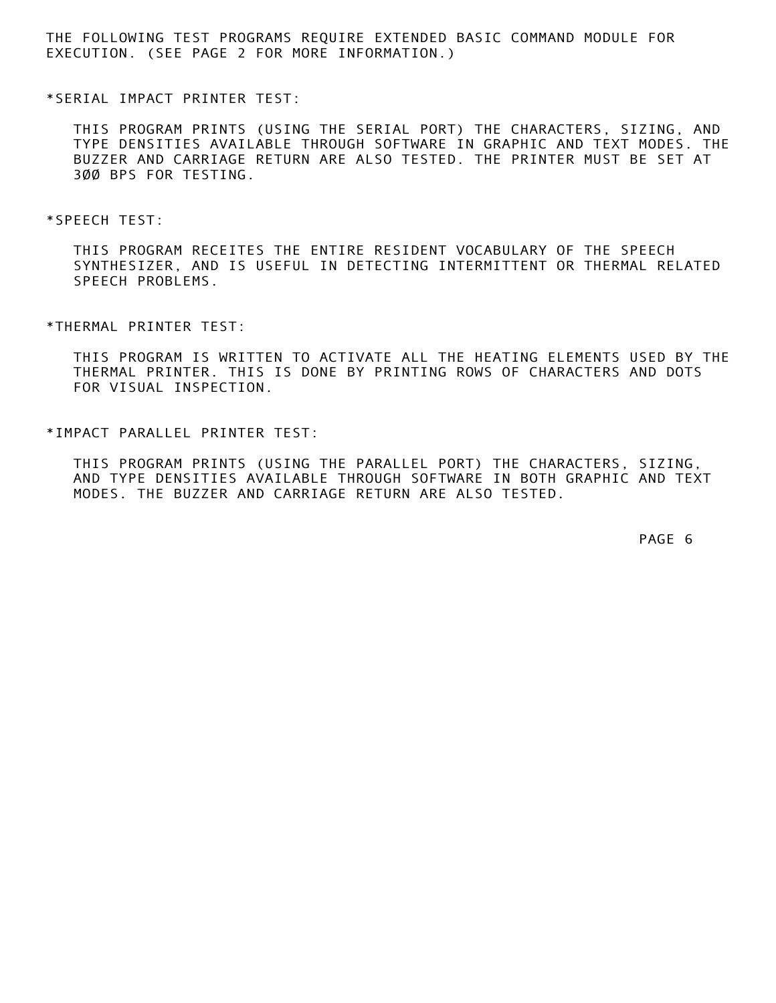THE FOLLOWING TEST PROGRAMS REQUIRE EXTENDED BASIC COMMAND MODULE FOR EXECUTION. (SEE PAGE 2 FOR MORE INFORMATION.)

\*SERIAL IMPACT PRINTER TEST:

E SERIAL PORT) THE CHARACTERS, SIZING, AND<br>UGH SOFTWARE IN GRAPHIC AND TEXT MODES. THE<br>F ALSO TESTED. THE PRINTER MUST BE SET AT<br>TRE RESIDENT VOCABULARY OF THE SPEECH<br>DETECTING INTERMITTENT OR THERMAL RELATED<br>ITIVATE ALL T THIS PROGRAM PRINTS (USING THE SERIAL PORT) THE CHARACTERS, SIZING, AND TYPE DENSITIES AVAILABLE THROUGH SOFTWARE IN GRAPHIC AND TEXT MODES. THE BUZZER AND CARRIAGE RETURN ARE ALSO TESTED. THE PRINTER MUST BE SET AT 300 BPS FOR TESTING.

\*SPEECH TEST:

 THIS PROGRAM RECEITES THE ENTIRE RESIDENT VOCABULARY OF THE SPEECH SYNTHESIZER, AND IS USEFUL IN DETECTING INTERMITTENT OR THERMAL RELATED SPEECH PROBLEMS.

\*THERMAL PRINTER TEST:

 THIS PROGRAM IS WRITTEN TO ACTIVATE ALL THE HEATING ELEMENTS USED BY THE THERMAL PRINTER. THIS IS DONE BY PRINTING ROWS OF CHARACTERS AND DOTS FOR VISUAL INSPECTION.

\*IMPACT PARALLEL PRINTER TEST:

 THIS PROGRAM PRINTS (USING THE PARALLEL PORT) THE CHARACTERS, SIZING, AND TYPE DENSITIES AVAILABLE THROUGH SOFTWARE IN BOTH GRAPHIC AND TEXT MODES. THE BUZZER AND CARRIAGE RETURN ARE ALSO TESTED.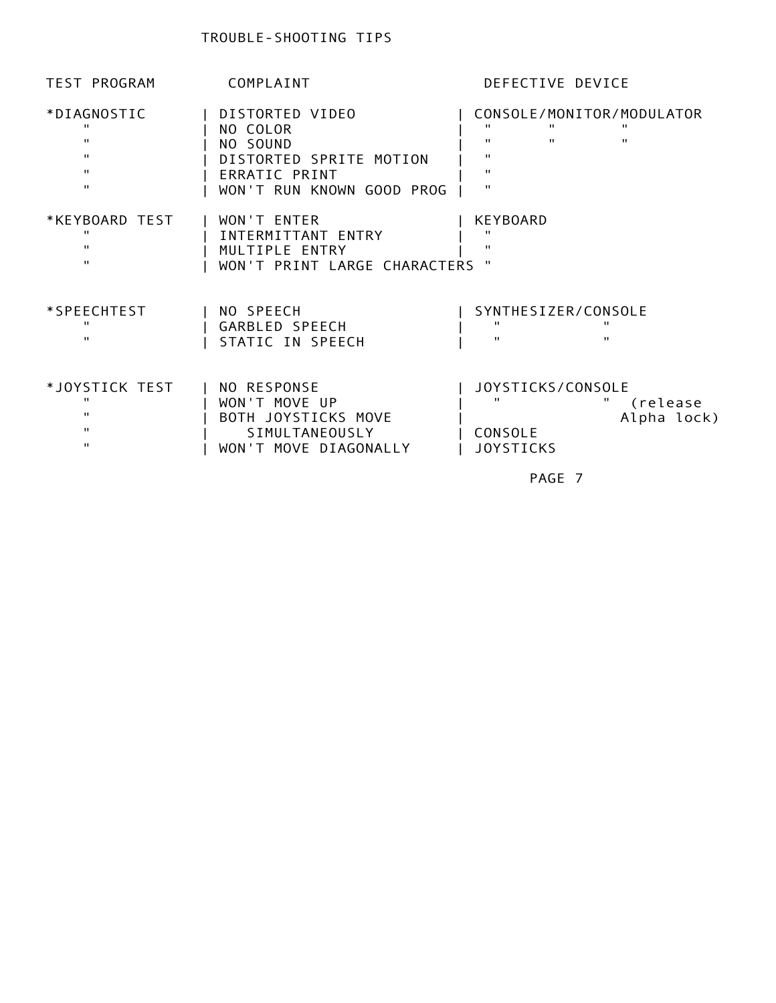| *DIAGNOSTIC<br>$\mathbf{H}$<br>$\mathbf{H}$<br>$\mathbf{H}$<br>$\mathbf{H}$<br>$\mathbf{H}$ | DISTORTED VIDEO<br>NO COLOR<br>NO SOUND<br>DISTORTED SPRITE MOTION<br>ERRATIC PRINT<br>WON'T RUN KNOWN GOOD PROG | CONSOLE/MONITOR/MODULATOR<br>$\mathbf{H}$<br>$\mathbf{H}$<br>Ħ.<br>$\mathbf{H}$<br>$\mathbf{H}$<br>$\mathbf{H}$<br>$\mathbf{H}$<br>$\mathbf{H}$<br>$\mathbf{H}$ |
|---------------------------------------------------------------------------------------------|------------------------------------------------------------------------------------------------------------------|-----------------------------------------------------------------------------------------------------------------------------------------------------------------|
| *KEYBOARD TEST<br>$\mathbf{H}$<br>$\mathbf{H}$<br>$\mathbf{H}$                              | WON'T ENTER<br>INTERMITTANT ENTRY<br>MULTIPLE ENTRY<br>WON'T PRINT LARGE CHARACTERS "                            | <b>KEYBOARD</b><br>$\mathbf{H}$<br>$\mathbf{H}$                                                                                                                 |
| *SPEECHTEST<br>$\mathbf{H}$<br>$\mathbf{H}$                                                 | NO SPEECH<br>GARBLED SPEECH<br>STATIC IN SPEECH                                                                  | SYNTHESIZER/CONSOLE<br>$\mathbf{H}$<br>$\mathbf{H}$<br>$\mathbf{H}$<br>$\mathbf{H}$                                                                             |
| *JOYSTICK TEST<br>$\mathbf{H}$<br>Π.<br>$\mathbf{H}$<br>$\mathbf{H}$                        | NO RESPONSE<br>WON'T MOVE UP<br>BOTH JOYSTICKS MOVE<br>SIMULTANEOUSLY<br>WON'T MOVE DIAGONALLY                   | JOYSTICKS/CONSOLE<br>$\mathbf{H}$<br>$\mathbf{H}$<br>(release<br>Alpha lock)<br>CONSOLE<br><b>JOYSTICKS</b>                                                     |
|                                                                                             |                                                                                                                  | PAGE 7                                                                                                                                                          |
|                                                                                             |                                                                                                                  |                                                                                                                                                                 |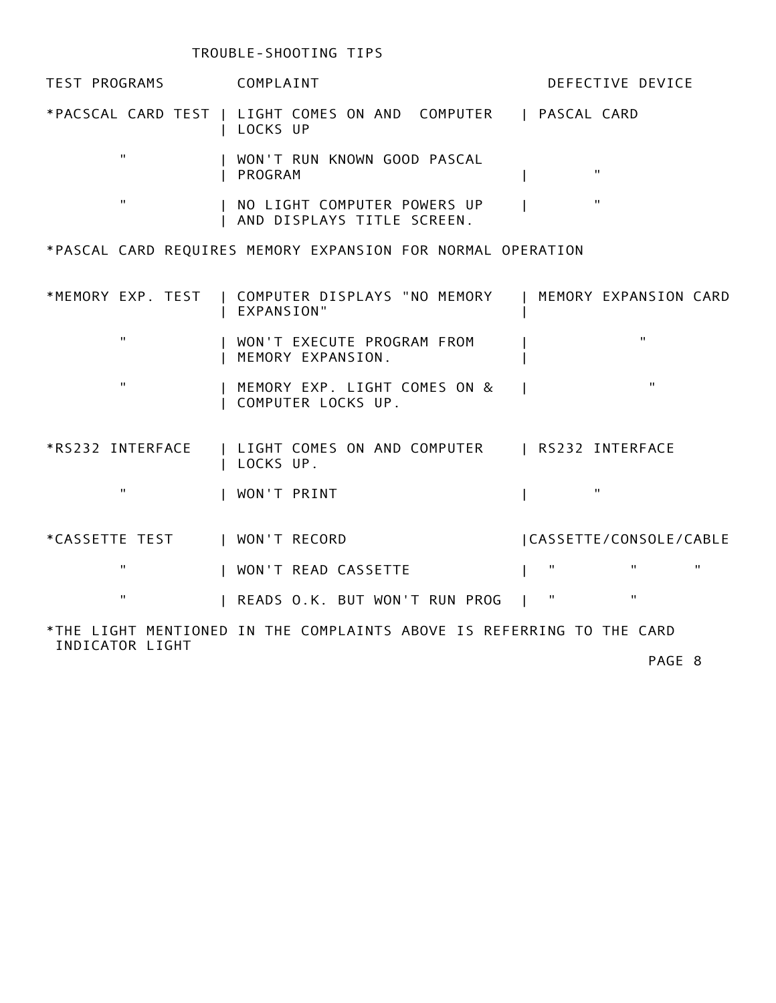# TROUBLE-SHOOTING TIPS

| TEST PROGRAMS COMPLAINT |                                                                       | DEFECTIVE DEVICE                   |
|-------------------------|-----------------------------------------------------------------------|------------------------------------|
|                         | LOCKS UP                                                              |                                    |
| $\mathbf{H}$            | WON'T RUN KNOWN GOOD PASCAL<br>PROGRAM                                | $\mathbf{H}$                       |
| $\mathbf{H}$            | NO LIGHT COMPUTER POWERS UP<br>AND DISPLAYS TITLE SCREEN.             | $\mathbf{H}$                       |
|                         | *PASCAL CARD REQUIRES MEMORY EXPANSION FOR NORMAL OPERATION           |                                    |
| *MEMORY EXP. TEST       | COMPUTER DISPLAYS "NO MEMORY<br>EXPANSION"                            | MEMORY EXPANSION CARD              |
| $\mathbf{H}$            | WON'T EXECUTE PROGRAM FROM<br>MEMORY EXPANSION.                       | $\mathbf{H}$                       |
| $\mathbf{H}$            | MEMORY EXP. LIGHT COMES ON &<br>COMPUTER LOCKS UP.                    | $\mathbf{H}$                       |
| *RS232 INTERFACE        | LIGHT COMES ON AND COMPUTER   RS232 INTERFACE<br>LOCKS UP.            |                                    |
| $\mathbf{H}$            | WON'T PRINT                                                           | $\mathbf{H}$                       |
| *CASSETTE TEST          | WON'T RECORD                                                          | CASSETTE/CONSOLE/CABLE             |
| 11                      | WON'T READ CASSETTE                                                   | Π.<br>$\mathbf{H}$<br>$\mathbf{H}$ |
| $\mathbf{H}$            | READS O.K. BUT WON'T RUN PROG                                         | $\mathbf H$<br>$\pmb{\mathsf{H}}$  |
|                         | *THE LIGHT MENTIONED IN THE COMPLAINTS ABOVE IS REFERRING TO THE CARD |                                    |
| INDICATOR LIGHT         |                                                                       | PAGE 8                             |
|                         |                                                                       |                                    |
|                         |                                                                       |                                    |
|                         |                                                                       |                                    |
|                         |                                                                       |                                    |
|                         |                                                                       |                                    |
|                         |                                                                       |                                    |
|                         |                                                                       |                                    |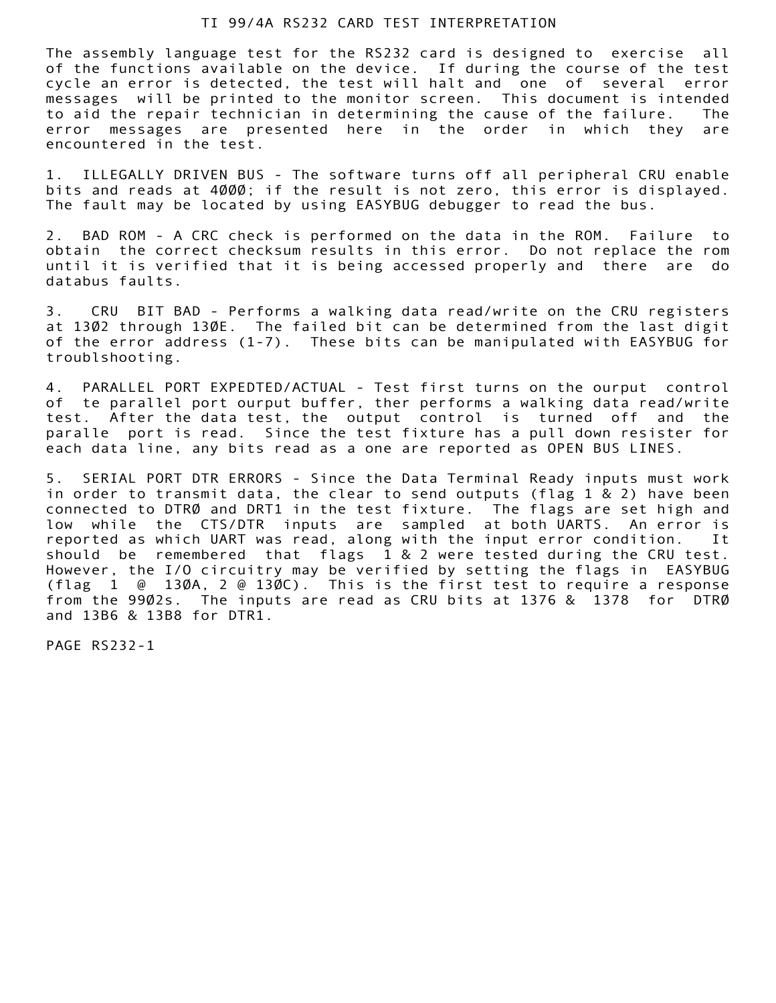# TI 99/4A RS232 CARD TEST INTERPRETATION

 The assembly language test for the RS232 card is designed to exercise all of the functions available on the device. If during the course of the test cycle an error is detected, the test will halt and one of several error messages will be printed to the monitor screen. This document is intended to aid the repair technician in determining the cause of the failure. The error messages are presented here in the order in which they are encountered in the test.

 1. ILLEGALLY DRIVEN BUS - The software turns off all peripheral CRU enable bits and reads at  $4\emptyset\emptyset\emptyset$ ; if the result is not zero, this error is displayed. The fault may be located by using EASYBUG debugger to read the bus.

 2. BAD ROM - A CRC check is performed on the data in the ROM. Failure to obtain the correct checksum results in this error. Do not replace the rom until it is verified that it is being accessed properly and there are do databus faults.

 3. CRU BIT BAD - Performs a walking data read/write on the CRU registers at 1302 through 130E. The failed bit can be determined from the last digit of the error address (1-7). These bits can be manipulated with EASYBUG for troublshooting.

 4. PARALLEL PORT EXPEDTED/ACTUAL - Test first turns on the ourput control of te parallel port ourput buffer, ther performs a walking data read/write test. After the data test, the output control is turned off and the paralle port is read. Since the test fixture has a pull down resister for each data line, any bits read as a one are reported as OPEN BUS LINES.

itest will halt and one of several error<br>test will halt and one of several error<br>test will halt and one of several error<br>monitor screen. This document is intended<br>determining the cause of the failure. The<br>here in the order 5. SERIAL PORT DTR ERRORS - Since the Data Terminal Ready inputs must work in order to transmit data, the clear to send outputs (flag  $1 \& 2$ ) have been connected to DTRØ and DRT1 in the test fixture. The flags are set high and low while the CTS/DTR inputs are sampled at both UARTS. An error is reported as which UART was read, along with the input error condition. It should be remembered that flags 1 & 2 were tested during the CRU test. However, the I/O circuitry may be verified by setting the flags in EASYBUG (flag 1 @ 130A, 2 @ 130C). This is the first test to require a response from the 9902s. The inputs are read as CRU bits at 1376 & 1378 for DTRØ and 13B6 & 13B8 for DTR1.

**Profile and Construction**<br> **Box 232-1**<br> **Domain Construction** PAGE RS232-1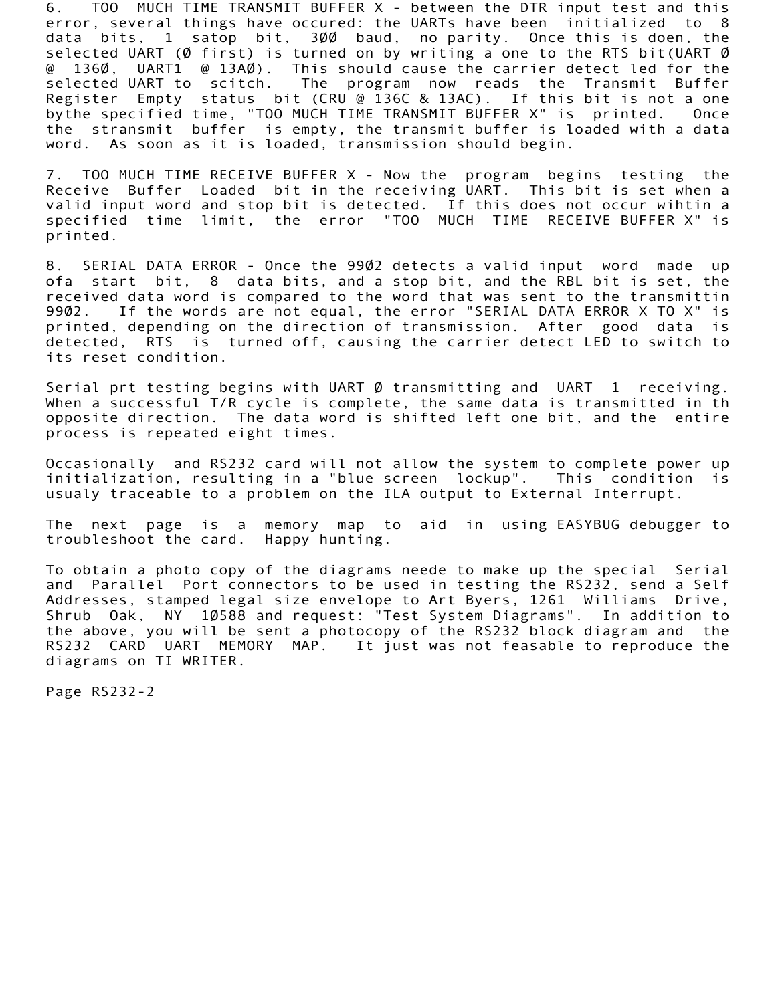6. TOO MUCH TIME TRANSMIT BUFFER X - between the DTR input test and this error, several things have occured: the UARTs have been initialized to 8 data bits, 1 satop bit, 300 baud, no parity. Once this is doen, the selected UART ( $\emptyset$  first) is turned on by writing a one to the RTS bit(UART  $\emptyset$  @ 1360, UART1 @ 13A0). This should cause the carrier detect led for the selected UART to scitch. The program now reads the Transmit Buffer Register Empty status bit (CRU @ 136C & 13AC). If this bit is not a one bythe specified time, "TOO MUCH TIME TRANSMIT BUFFER X" is printed. Once the stransmit buffer is empty, the transmit buffer is loaded with a data word. As soon as it is loaded, transmission should begin.

 7. TOO MUCH TIME RECEIVE BUFFER X - Now the program begins testing the Receive Buffer Loaded bit in the receiving UART. This bit is set when a valid input word and stop bit is detected. If this does not occur wihtin a specified time limit, the error "TOO MUCH TIME RECEIVE BUFFER X" is printed.

should'cause the carrier detect led for the<br>program now reads the Transmit Buffer<br>UU@136C & 13AC). If this bit is not a one<br>TIME TRANSMIT BUFFER X" is printed. Once<br>IT METRANSMIT BUFFER X" is printed. Once<br>the receiving UA 8. SERIAL DATA ERROR - Once the 9902 detects a valid input word made up ofa start bit, 8 data bits, and a stop bit, and the RBL bit is set, the received data word is compared to the word that was sent to the transmittin 9902. If the words are not equal, the error "SERIAL DATA ERROR X TO X" is printed, depending on the direction of transmission. After good data is detected, RTS is turned off, causing the carrier detect LED to switch to its reset condition.

Serial prt testing begins with UART Ø transmitting and UART 1 receiving. When a successful T/R cycle is complete, the same data is transmitted in th opposite direction. The data word is shifted left one bit, and the entire process is repeated eight times.

 Occasionally and RS232 card will not allow the system to complete power up initialization, resulting in a "blue screen lockup". This condition is usualy traceable to a problem on the ILA output to External Interrupt.

 The next page is a memory map to aid in using EASYBUG debugger to troubleshoot the card. Happy hunting.

**DOVE, you will be sent a p**<br>CARD UART MEMORY MAP.<br>Ims on TI WRITER.<br>S232-2 To obtain a photo copy of the diagrams neede to make up the special Serial and Parallel Port connectors to be used in testing the RS232, send a Self Addresses, stamped legal size envelope to Art Byers, 1261 Williams Drive, Shrub Oak, NY 10588 and request: Test System Diagrams". In addition to the above, you will be sent a photocopy of the RS232 block diagram and the RS232 CARD UART MEMORY MAP. It just was not feasable to reproduce the diagrams on TI WRITER.

Page RS232-2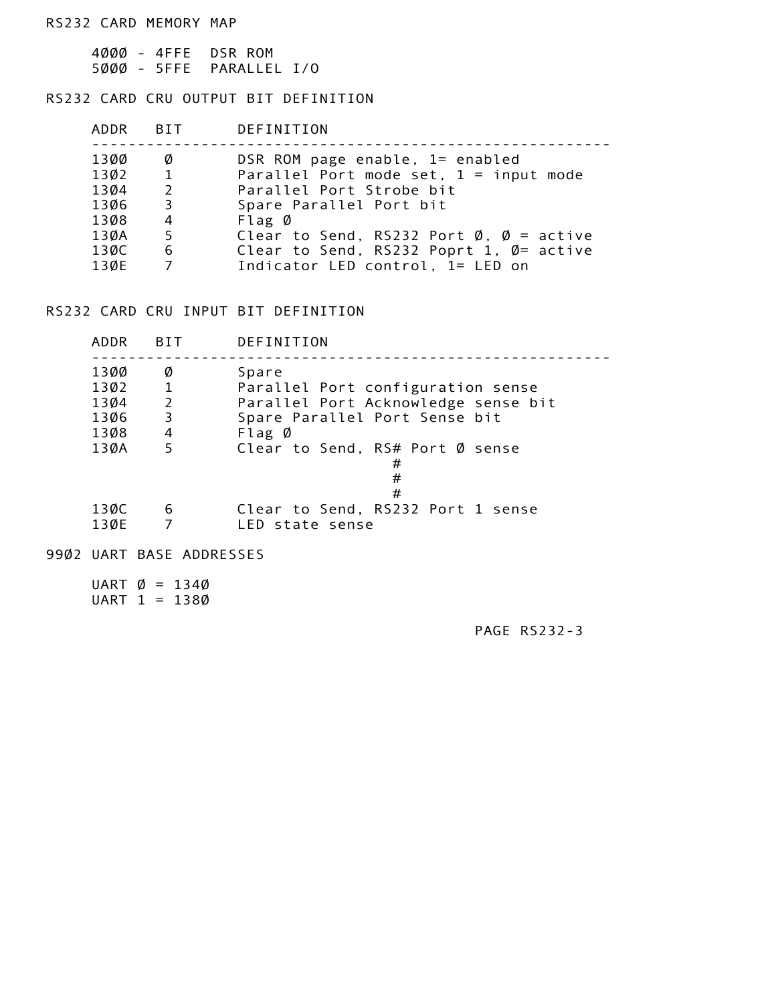RS232 CARD MEMORY MAP

 4000 - 4FFE DSR ROM 5000 - 5FFE PARALLEL I/O

|      | ADDR BIT                             | DEFINITION                                                   |
|------|--------------------------------------|--------------------------------------------------------------|
|      |                                      |                                                              |
| 13ØØ | Ø                                    | DSR ROM page enable, 1= enabled                              |
| 1302 | $\begin{array}{ccc} & 1 \end{array}$ | Parallel Port mode set, $1 =$ input mode                     |
| 1304 | $\overline{2}$                       | Parallel Port Strobe bit                                     |
| 1306 | $\overline{\mathbf{3}}$              | Spare Parallel Port bit                                      |
| 1308 | 4                                    | $Flag$ Ø                                                     |
| 13ØA | 5                                    | Clear to Send, RS232 Port $\emptyset$ , $\emptyset$ = active |
| 130C | - 6                                  | Clear to Send, RS232 Poprt 1, $\emptyset$ = active           |
| 13ØE | 7                                    | Indicator LED control, 1= LED on                             |

|      | ADDR BIT             | DEFINITION                                                                                                                     |
|------|----------------------|--------------------------------------------------------------------------------------------------------------------------------|
| 13ØØ |                      | $\emptyset$ DSR ROM page enable, $1=$ enabled                                                                                  |
|      |                      | 1302 1 Parallel Port mode set, 1 = input mode                                                                                  |
|      |                      | 1304 2 Parallel Port Strobe bit                                                                                                |
| 1306 |                      | 3 Spare Parallel Port bit                                                                                                      |
|      | 1308 4               | Flag Ø                                                                                                                         |
|      | $13ØA$ 5             | Clear to Send, RS232 Port $\emptyset$ , $\emptyset$ = active                                                                   |
|      | $130C$ 6<br>$130E$ 7 | Clear to Send, RS232 Poprt 1, $\emptyset$ = active                                                                             |
|      |                      | Indicator LED control, 1= LED on                                                                                               |
|      | ADDR BIT             | RS232 CARD CRU INPUT BIT DEFINITION<br>DEFINITION                                                                              |
|      |                      |                                                                                                                                |
| 13ØØ |                      | Ø Spare                                                                                                                        |
|      |                      |                                                                                                                                |
|      |                      |                                                                                                                                |
|      |                      | 1302 1 Parallel Port configuration sense<br>1304 2 Parallel Port Acknowledge sense bit<br>1306 3 Spare Parallel Port Sense bit |
|      | 1308 4               | Flag Ø                                                                                                                         |
| 13ØA | 5 <sub>5</sub>       | Clear to Send, RS# Port Ø sense                                                                                                |
|      |                      | #                                                                                                                              |
|      |                      | $\#$                                                                                                                           |
|      |                      | #<br>13ØC 6 Clear to Send, RS232 Port 1 sense                                                                                  |

UART  $\emptyset = 134\emptyset$ UART  $1 = 138\%$ 

PAGE RS232-3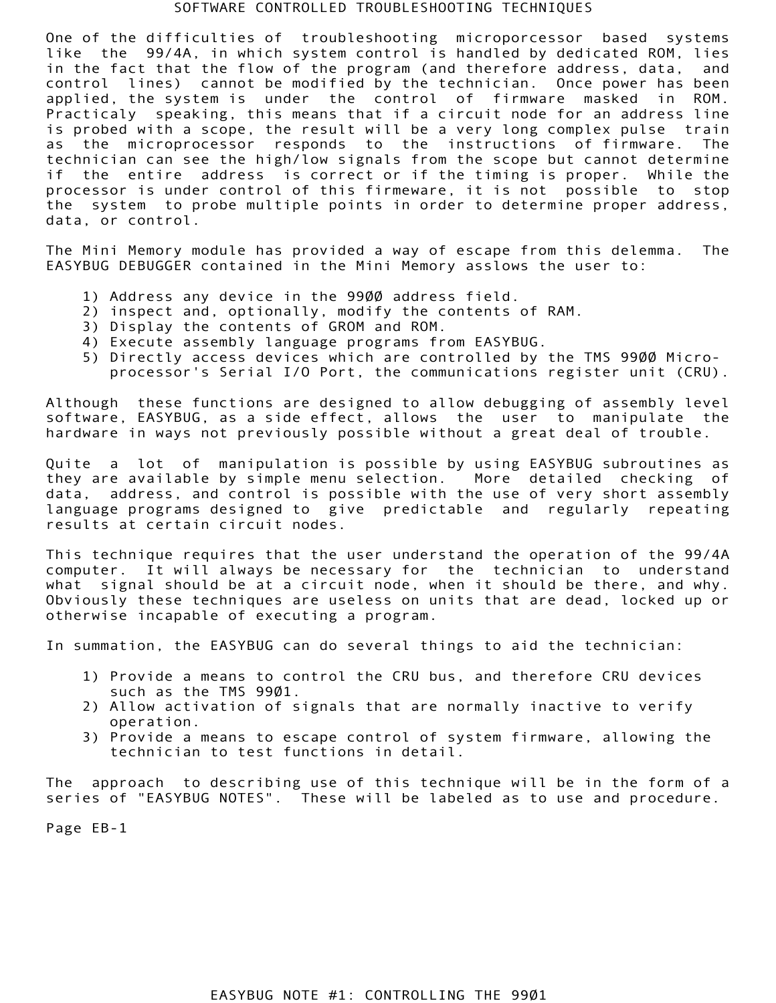## SOFTWARE CONTROLLED TROUBLESHOOTING TECHNIQUES

ied by the technician. Once power has been<br>intered by the control of firmware masked in ROM.<br>That if a circuit node for an address line<br>Ult will be a very long complex pulse train<br>is to the instructions of firmware. The<br>si One of the difficulties of troubleshooting microporcessor based systems like the 99/4A, in which system control is handled by dedicated ROM, lies in the fact that the flow of the program (and therefore address, data, and control lines) cannot be modified by the technician. Once power has been applied, the system is under the control of firmware masked in ROM. Practicaly speaking, this means that if a circuit node for an address line is probed with a scope, the result will be a very long complex pulse train as the microprocessor responds to the instructions of firmware. The technician can see the high/low signals from the scope but cannot determine if the entire address is correct or if the timing is proper. While the processor is under control of this firmeware, it is not possible to stop the system to probe multiple points in order to determine proper address, data, or control.

 The Mini Memory module has provided a way of escape from this delemma. The EASYBUG DEBUGGER contained in the Mini Memory asslows the user to:

- 1) Address any device in the 9900 address field.
- 2) inspect and, optionally, modify the contents of RAM.
- 3) Display the contents of GROM and ROM.
- 4) Execute assembly language programs from EASYBUG.
- 5) Directly access devices which are controlled by the TMS 9900 Micro processor's Serial I/O Port, the communications register unit (CRU).

 Although these functions are designed to allow debugging of assembly level software, EASYBUG, as a side effect, allows the user to manipulate the hardware in ways not previously possible without a great deal of trouble.

 Quite a lot of manipulation is possible by using EASYBUG subroutines as they are available by simple menu selection. More detailed checking of data, address, and control is possible with the use of very short assembly language programs designed to give predictable and regularly repeating results at certain circuit nodes.

 This technique requires that the user understand the operation of the 99/4A computer. It will always be necessary for the technician to understand what signal should be at a circuit node, when it should be there, and why. Obviously these techniques are useless on units that are dead, locked up or otherwise incapable of executing a program.

In summation, the EASYBUG can do several things to aid the technician:

- 1) Provide a means to control the CRU bus, and therefore CRU devices such as the TMS 9901.
- 2) Allow activation of signals that are normally inactive to verify operation.
- 3) Provide a means to escape control of system firmware, allowing the technician to test functions in detail.

Ination, the EASYBUG can d<br>Provide a means to contr<br>such as the TMS 9901.<br>Allow activation of sign<br>operation.<br>Provide a means to escap<br>technician to test funct<br>ppproach to describing us<br>of "EASYBUG NOTES". The<br>B-1 The approach to describing use of this technique will be in the form of a series of "EASYBUG NOTES". These will be labeled as to use and procedure.

Page EB-1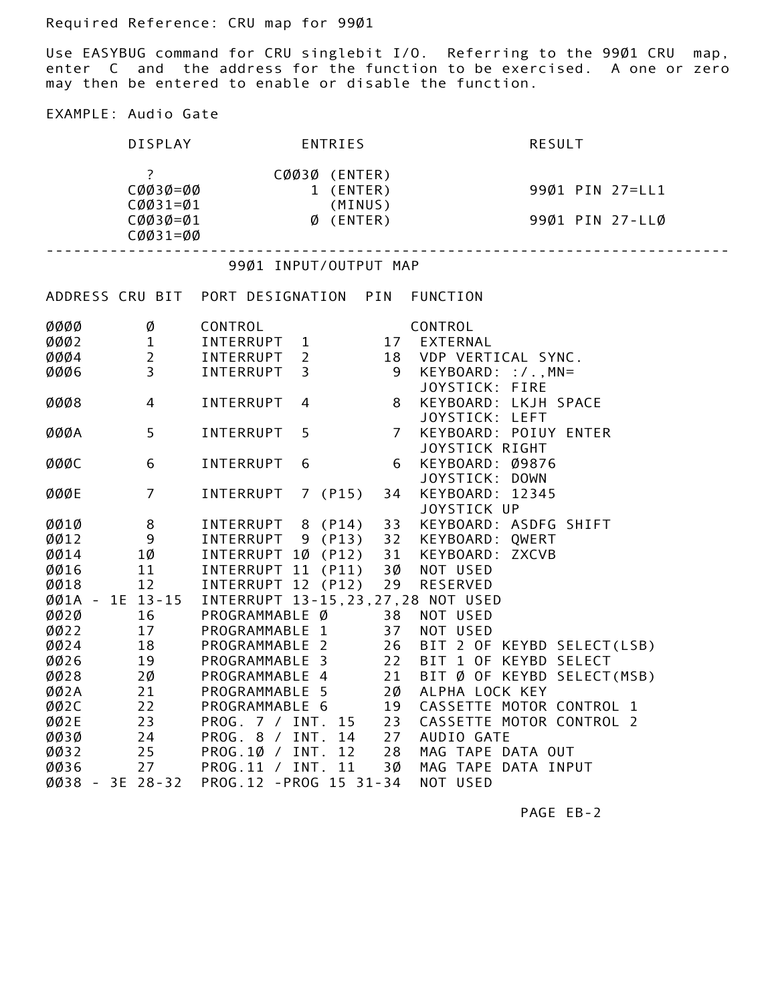Required Reference: CRU map for 9901

 Use EASYBUG command for CRU singlebit I/O. Referring to the 9901 CRU map, enter C and the address for the function to be exercised. A one or zero may then be entered to enable or disable the function.

## EXAMPLE: Audio Gate

|                     | DISPLAY                           | ENTRIES                                                | <b>RESULT</b>                              |
|---------------------|-----------------------------------|--------------------------------------------------------|--------------------------------------------|
|                     | $\ddot{?}$                        | CØØ3Ø (ENTER)                                          |                                            |
|                     | CØØ3Ø=ØØ                          | 1 (ENTER)                                              | 9901 PIN 27=LL1                            |
|                     | $CØØ31=Ø1$                        | (MINUS)<br>$\emptyset$ (ENTER)<br>$CØØ3Ø = \emptyset1$ | 99Ø1 PIN 27-LLØ                            |
|                     | $CØØ31=ØØ$                        |                                                        | .                                          |
|                     |                                   | 9901 INPUT/OUTPUT MAP                                  |                                            |
|                     |                                   | ADDRESS CRU BIT PORT DESIGNATION PIN FUNCTION          |                                            |
| ØØØØ                | Ø                                 | CONTROL                                                | CONTROL                                    |
|                     | 0002 1<br>0004 2<br>0006 3        | INTERRUPT 1 17 EXTERNAL                                |                                            |
|                     |                                   | INTERRUPT 2                                            | 18 VDP VERTICAL SYNC.                      |
|                     |                                   | INTERRUPT 3                                            | 9 KEYBOARD: : / ., MN=                     |
| ØØØ8                | $\overline{4}$                    | INTERRUPT<br>8<br>4                                    | JOYSTICK: FIRE<br>KEYBOARD: LKJH SPACE     |
|                     |                                   |                                                        | JOYSTICK: LEFT                             |
| ØØØA                | 5 <sup>1</sup>                    | INTERRUPT<br>-5<br>7 <sup>7</sup>                      | KEYBOARD: POIUY ENTER                      |
|                     |                                   |                                                        | JOYSTICK RIGHT                             |
| ØØØC                | 6                                 | INTERRUPT<br>-6<br>6                                   | KEYBOARD: Ø9876                            |
|                     |                                   |                                                        | JOYSTICK: DOWN                             |
| ØØØE                | $7\overline{ }$                   | INTERRUPT 7 (P15)<br>34                                | KEYBOARD: 12345                            |
|                     |                                   | INTERRUPT 8 (P14) 33 KEYBOARD: ASDFG SHIFT             | JOYSTICK UP                                |
| ØØ1Ø<br>ØØ12        | $8\overline{)}$<br>$\overline{9}$ | INTERRUPT 9 (P13) 32 KEYBOARD: QWERT                   |                                            |
| ØØ14                | $1\emptyset$                      | INTERRUPT 1Ø (P12) 31 KEYBOARD: ZXCVB                  |                                            |
| ØØ16                | 11                                | INTERRUPT 11 (P11) 3Ø NOT USED                         |                                            |
| ØØ18                | 12                                | INTERRUPT 12 (P12) 29 RESERVED                         |                                            |
|                     |                                   | ØØ1A - 1E 13-15 INTERRUPT 13-15,23,27,28 NOT USED      |                                            |
| ØØ2Ø                | 16                                | PROGRAMMABLE Ø 38 NOT USED                             |                                            |
| ØØ22                | 17                                | PROGRAMMABLE 1                                         | 37 NOT USED                                |
| ØØ24                | 18                                | PROGRAMMABLE 2<br>26                                   | BIT 2 OF KEYBD SELECT(LSB)                 |
| ØØ26                | 19                                | 22<br>PROGRAMMABLE 3                                   | BIT 1 OF KEYBD SELECT                      |
| ØØ28                | 20                                | 21<br>PROGRAMMABLE 4                                   | BIT Ø OF KEYBD SELECT(MSB)                 |
| ØØ2A<br>ØØ2C        | 21<br>22                          | PROGRAMMABLE 5<br>2Ø<br>PROGRAMMABLE 6<br>19           | ALPHA LOCK KEY<br>CASSETTE MOTOR CONTROL 1 |
| ØØ2E                | 23                                | 23<br>PROG. 7 / INT. 15                                | CASSETTE MOTOR CONTROL 2                   |
| ØØ3Ø                | 24                                | PROG. 8 / INT. 14<br>27                                | AUDIO GATE                                 |
| ØØ32                | 25                                | PROG.10 / INT. 12<br>28                                | MAG TAPE DATA OUT                          |
| ØØ36                | 27                                | PROG.11 / INT. 11<br>3Ø                                | MAG TAPE DATA INPUT                        |
| $0038 - 3E 28 - 32$ |                                   | PROG.12 - PROG 15 31-34                                | NOT USED                                   |
|                     |                                   |                                                        | PAGE EB-2                                  |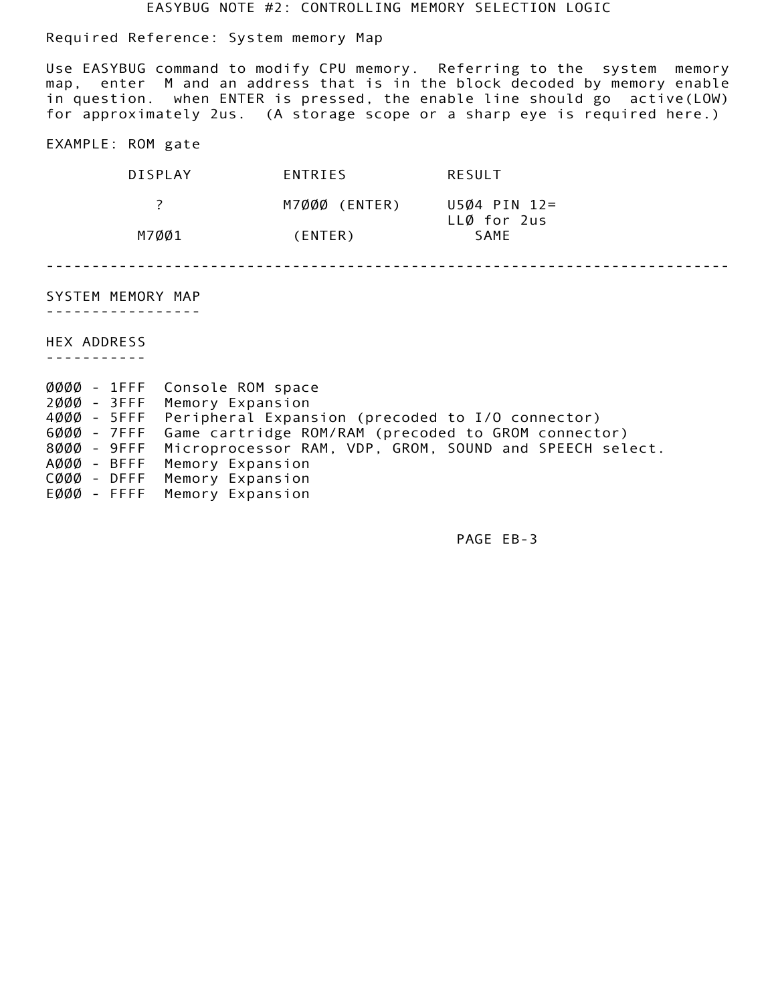EASYBUG NOTE #2: CONTROLLING MEMORY SELECTION LOGIC

Required Reference: System memory Map

| DISPI AY | ENTRIES       | RESULT                      |  |
|----------|---------------|-----------------------------|--|
|          | M7ØØØ (ENTER) | U5Ø4 PIN 12=<br>LLØ for 2us |  |
| M7ØØ1    | (ENTER)       | SAME                        |  |

| EXAMPLE: ROM gate                                              |                   |                            |                     |
|----------------------------------------------------------------|-------------------|----------------------------|---------------------|
|                                                                | <b>DISPLAY</b>    | ENTRIES                    | RESULT              |
| ?                                                              |                   | M7000 (ENTER) U504 PIN 12= |                     |
|                                                                | M7ØØ1             | (ENTER)                    | LLØ for 2us<br>SAME |
| SYSTEM MEMORY MAP<br>HEX ADDRESS<br>-----------<br>ØØØØ - 1FFF | Console ROM space |                            |                     |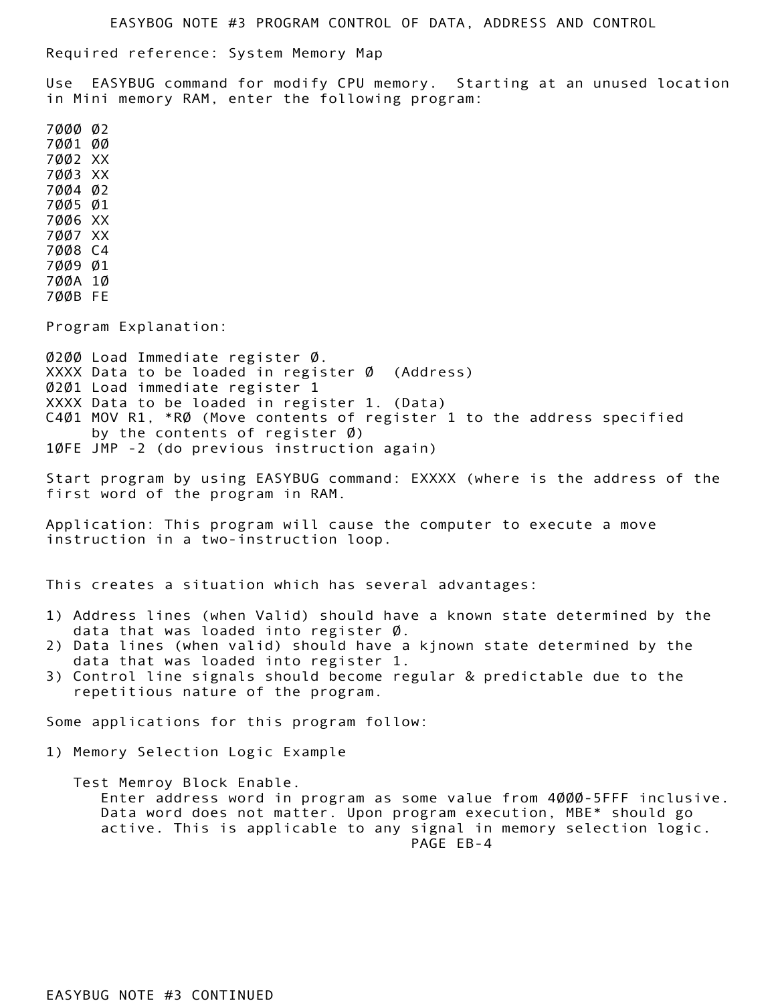EASYBOG NOTE #3 PROGRAM CONTROL OF DATA, ADDRESS AND CONTROL

Required reference: System Memory Map

 Use EASYBUG command for modify CPU memory. Starting at an unused location in Mini memory RAM, enter the following program:

Program Explanation:

<sup>7</sup><br>
CPU memory. Starting at an unused location<br>
Ilowing program:<br>
er 0 (Address)<br>
er 1. (Data)<br>
of register 1 to the address specified<br>
0)<br>
20)<br>
Union again)<br>
Command: EXXXX (where is the address of the<br>
1.<br>
ause the comp  $\emptyset$ 2 $\emptyset$  $\emptyset$  Load Immediate register  $\emptyset$ . XXXX Data to be loaded in register  $\emptyset$  (Address) 0201 Load immediate register 1 XXXX Data to be loaded in register 1. (Data) C401 MOV R1, \*R0 (Move contents of register 1 to the address specified by the contents of register  $\emptyset$ ) 10FE JMP -2 (do previous instruction again)

 Start program by using EASYBUG command: EXXXX (where is the address of the first word of the program in RAM.

 Application: This program will cause the computer to execute a move instruction in a two-instruction loop.

This creates a situation which has several advantages:

- 1) Address lines (when Valid) should have a known state determined by the data that was loaded into register  $\emptyset$ .
- 2) Data lines (when valid) should have a kjnown state determined by the data that was loaded into register 1.
- 3) Control line signals should become regular & predictable due to the repetitious nature of the program.

Some applications for this program follow:

1) Memory Selection Logic Example

a that was loaded into re<br>
a lines (when valid) shou<br>
a that was loaded into re<br>
a that was loaded into re<br>
itrol line signals should<br>
betitious nature of the pr<br>
ppplications for this prog<br>
nory Selection Logic Examp<br>
it Test Memroy Block Enable. Enter address word in program as some value from 4000-5FFF inclusive. Data word does not matter. Upon program execution, MBE\* should go active. This is applicable to any signal in memory selection logic. PAGE EB-4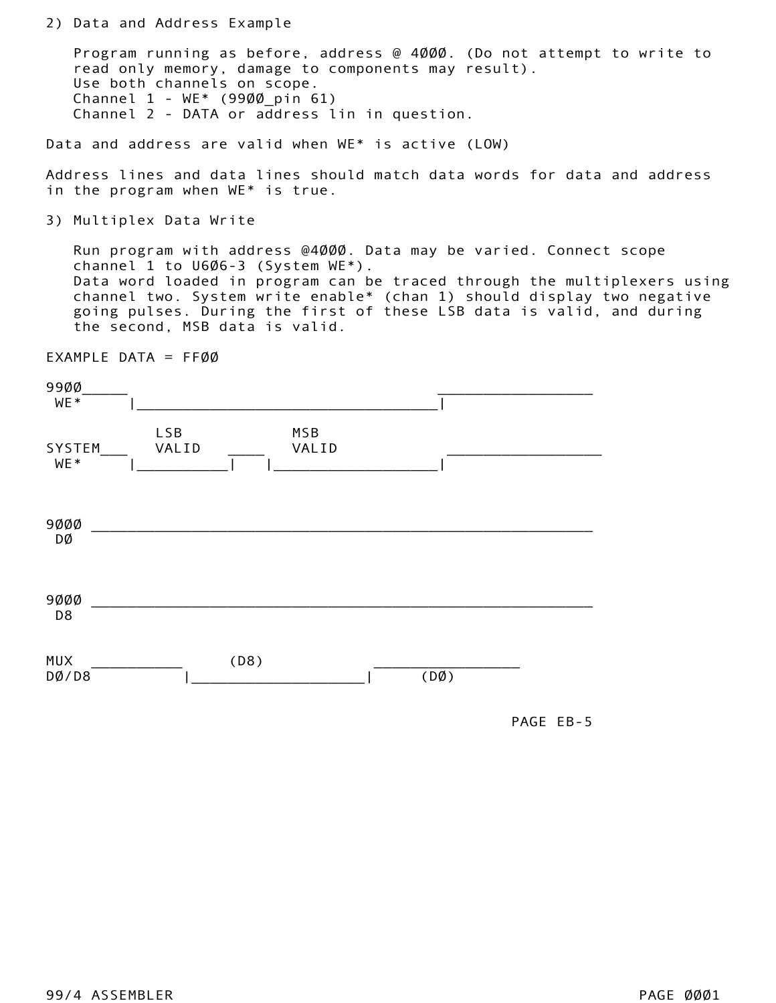Program running as before, address @ 4000. (Do not attempt to write to read only memory, damage to components may result). Use both channels on scope. Channel 1 - WE\* (9900\_pin 61) Channel 2 - DATA or address lin in question.

|                             | read only memory, damage to components may result).<br>Use both channels on scope.<br>Channel $1 - WE*$ (9900 pin 61)<br>Channel 2 - DATA or address lin in question.                                                                                                                                                                                                   |              |      |           |  |
|-----------------------------|-------------------------------------------------------------------------------------------------------------------------------------------------------------------------------------------------------------------------------------------------------------------------------------------------------------------------------------------------------------------------|--------------|------|-----------|--|
|                             | Data and address are valid when WE* is active (LOW)                                                                                                                                                                                                                                                                                                                     |              |      |           |  |
|                             | Address lines and data lines should match data words for data and address<br>in the program when WE* is true.                                                                                                                                                                                                                                                           |              |      |           |  |
|                             | 3) Multiplex Data Write                                                                                                                                                                                                                                                                                                                                                 |              |      |           |  |
|                             | Run program with address @4000. Data may be varied. Connect scope<br>channel 1 to U6Ø6-3 (System WE*).<br>Data word loaded in program can be traced through the multiplexers using<br>channel two. System write enable* (chan 1) should display two negative<br>going pulses. During the first of these LSB data is valid, and during<br>the second, MSB data is valid. |              |      |           |  |
| EXAMPLE DATA = $FFØØ$       |                                                                                                                                                                                                                                                                                                                                                                         |              |      |           |  |
| 99ØØ<br>WE*                 |                                                                                                                                                                                                                                                                                                                                                                         |              |      |           |  |
| SYSTEM<br>WE*<br>9ØØØ<br>DØ | <b>LSB</b><br>VALID                                                                                                                                                                                                                                                                                                                                                     | MSB<br>VALID |      |           |  |
| 9ØØØ<br>D <sub>8</sub>      |                                                                                                                                                                                                                                                                                                                                                                         |              |      |           |  |
| <b>MUX</b><br>DØ/DB         | (D8)                                                                                                                                                                                                                                                                                                                                                                    |              | (DØ) |           |  |
|                             |                                                                                                                                                                                                                                                                                                                                                                         |              |      | PAGE EB-5 |  |
|                             |                                                                                                                                                                                                                                                                                                                                                                         |              |      |           |  |
|                             |                                                                                                                                                                                                                                                                                                                                                                         |              |      |           |  |
|                             |                                                                                                                                                                                                                                                                                                                                                                         |              |      |           |  |
|                             |                                                                                                                                                                                                                                                                                                                                                                         |              |      |           |  |
|                             |                                                                                                                                                                                                                                                                                                                                                                         |              |      |           |  |

PAGE EB-5